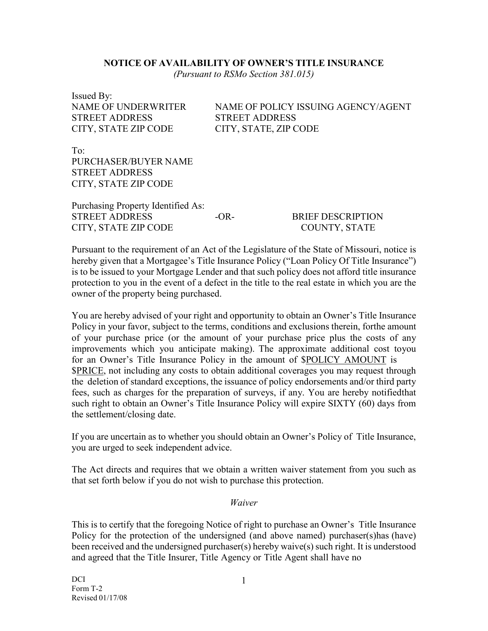## **NOTICE OF AVAILABILITY OF OWNER'S TITLE INSURANCE**

*(Pursuant to RSMo Section 381.015)*

Issued By:<br>NAME OF UNDERWRITER STREET ADDRESS STREET ADDRESS CITY, STATE ZIP CODE CITY, STATE, ZIP CODE

NAME OF POLICY ISSUING AGENCY/AGENT

To: PURCHASER/BUYER NAME STREET ADDRESS CITY, STATE ZIP CODE

Purchasing Property Identified As: STREET ADDRESS -OR- BRIEF DESCRIPTION CITY, STATE ZIP CODE COUNTY, STATE

Pursuant to the requirement of an Act of the Legislature of the State of Missouri, notice is hereby given that a Mortgagee's Title Insurance Policy ("Loan Policy Of Title Insurance") is to be issued to your Mortgage Lender and that such policy does not afford title insurance protection to you in the event of a defect in the title to the real estate in which you are the owner of the property being purchased.

You are hereby advised of your right and opportunity to obtain an Owner's Title Insurance Policy in your favor, subject to the terms, conditions and exclusions therein, forthe amount of your purchase price (or the amount of your purchase price plus the costs of any improvements which you anticipate making). The approximate additional cost toyou for an Owner's Title Insurance Policy in the amount of \$POLICY AMOUNT is \$PRICE, not including any costs to obtain additional coverages you may request through the deletion of standard exceptions, the issuance of policy endorsements and/or third party fees, such as charges for the preparation of surveys, if any. You are hereby notifiedthat such right to obtain an Owner's Title Insurance Policy will expire SIXTY (60) days from the settlement/closing date.

If you are uncertain as to whether you should obtain an Owner's Policy of Title Insurance, you are urged to seek independent advice.

The Act directs and requires that we obtain a written waiver statement from you such as that set forth below if you do not wish to purchase this protection.

## *Waiver*

This is to certify that the foregoing Notice of right to purchase an Owner's Title Insurance Policy for the protection of the undersigned (and above named) purchaser(s)has (have) been received and the undersigned purchaser(s) hereby waive(s) such right. It is understood and agreed that the Title Insurer, Title Agency or Title Agent shall have no